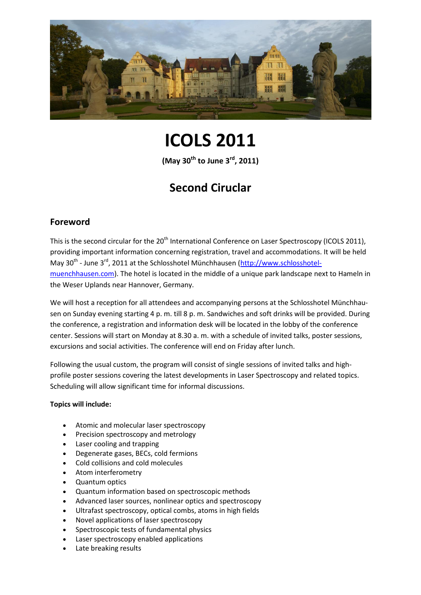

# **ICOLS 2011**

**(May 30th to June 3rd, 2011)**

# **Second Ciruclar**

# **Foreword**

This is the second circular for the 20<sup>th</sup> International Conference on Laser Spectroscopy (ICOLS 2011), providing important information concerning registration, travel and accommodations. It will be held May 30<sup>th</sup> - June 3<sup>rd</sup>, 2011 at the Schlosshotel Münchhausen [\(http://www.schlosshotel](http://www.schlosshotel-muenchhausen.com/)[muenchhausen.com\)](http://www.schlosshotel-muenchhausen.com/). The hotel is located in the middle of a unique park landscape next to Hameln in the Weser Uplands near Hannover, Germany.

We will host a reception for all attendees and accompanying persons at the Schlosshotel Münchhausen on Sunday evening starting 4 p. m. till 8 p. m. Sandwiches and soft drinks will be provided. During the conference, a registration and information desk will be located in the lobby of the conference center. Sessions will start on Monday at 8.30 a. m. with a schedule of invited talks, poster sessions, excursions and social activities. The conference will end on Friday after lunch.

Following the usual custom, the program will consist of single sessions of invited talks and highprofile poster sessions covering the latest developments in Laser Spectroscopy and related topics. Scheduling will allow significant time for informal discussions.

#### **Topics will include:**

- Atomic and molecular laser spectroscopy
- Precision spectroscopy and metrology
- Laser cooling and trapping
- Degenerate gases, BECs, cold fermions
- Cold collisions and cold molecules
- Atom interferometry
- Quantum optics
- Quantum information based on spectroscopic methods
- Advanced laser sources, nonlinear optics and spectroscopy
- Ultrafast spectroscopy, optical combs, atoms in high fields
- Novel applications of laser spectroscopy
- Spectroscopic tests of fundamental physics
- Laser spectroscopy enabled applications
- Late breaking results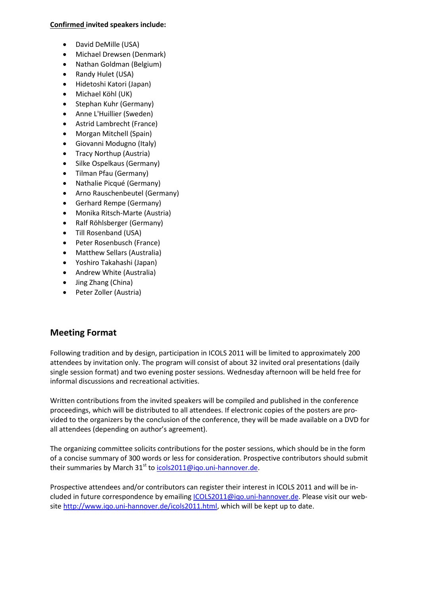#### **Confirmed invited speakers include:**

- David DeMille (USA)
- Michael Drewsen (Denmark)
- Nathan Goldman (Belgium)
- Randy Hulet (USA)
- Hidetoshi Katori (Japan)
- Michael Köhl (UK)
- Stephan Kuhr (Germany)
- Anne L'Huillier (Sweden)
- Astrid Lambrecht (France)
- Morgan Mitchell (Spain)
- Giovanni Modugno (Italy)
- Tracy Northup (Austria)
- Silke Ospelkaus (Germany)
- Tilman Pfau (Germany)
- Nathalie Picqué (Germany)
- Arno Rauschenbeutel (Germany)
- Gerhard Rempe (Germany)
- Monika Ritsch-Marte (Austria)
- Ralf Röhlsberger (Germany)
- Till Rosenband (USA)
- Peter Rosenbusch (France)
- Matthew Sellars (Australia)
- Yoshiro Takahashi (Japan)
- Andrew White (Australia)
- Jing Zhang (China)
- Peter Zoller (Austria)

# **Meeting Format**

Following tradition and by design, participation in ICOLS 2011 will be limited to approximately 200 attendees by invitation only. The program will consist of about 32 invited oral presentations (daily single session format) and two evening poster sessions. Wednesday afternoon will be held free for informal discussions and recreational activities.

Written contributions from the invited speakers will be compiled and published in the conference proceedings, which will be distributed to all attendees. If electronic copies of the posters are provided to the organizers by the conclusion of the conference, they will be made available on a DVD for all attendees (depending on author's agreement).

The organizing committee solicits contributions for the poster sessions, which should be in the form of a concise summary of 300 words or less for consideration. Prospective contributors should submit their summaries by March 31<sup>st</sup> to **icols2011@igo.uni-hannover.de**.

Prospective attendees and/or contributors can register their interest in ICOLS 2011 and will be included in future correspondence by emailing [ICOLS2011@iqo.uni-hannover.de.](mailto:ICOLS2011@iqo.uni-hannover.de) Please visit our website [http://www.iqo.uni-hannover.de/icols2011.html,](http://www.iqo.uni-hannover.de/icols2011.html) which will be kept up to date.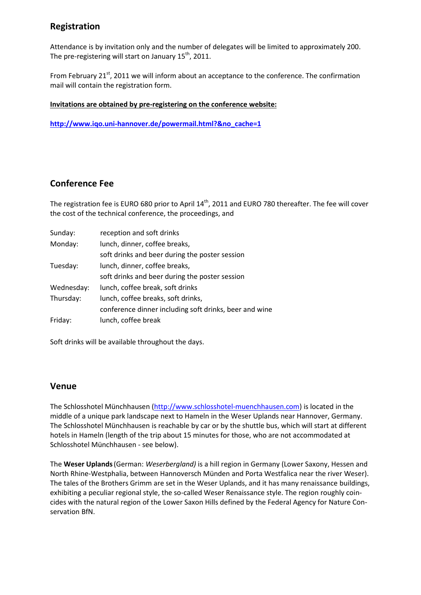# **Registration**

Attendance is by invitation only and the number of delegates will be limited to approximately 200. The pre-registering will start on January  $15<sup>th</sup>$ , 2011.

From February 21<sup>st</sup>, 2011 we will inform about an acceptance to the conference. The confirmation mail will contain the registration form.

#### **Invitations are obtained by pre-registering on the conference website:**

**[http://www.iqo.uni-hannover.de/powermail.html?&no\\_cache=1](http://www.iqo.uni-hannover.de/powermail.html?&no_cache=1)**

### **Conference Fee**

The registration fee is EURO 680 prior to April 14<sup>th</sup>, 2011 and EURO 780 thereafter. The fee will cover the cost of the technical conference, the proceedings, and

| Sunday:    | reception and soft drinks                              |
|------------|--------------------------------------------------------|
| Monday:    | lunch, dinner, coffee breaks,                          |
|            | soft drinks and beer during the poster session         |
| Tuesday:   | lunch, dinner, coffee breaks,                          |
|            | soft drinks and beer during the poster session         |
| Wednesday: | lunch, coffee break, soft drinks                       |
| Thursday:  | lunch, coffee breaks, soft drinks,                     |
|            | conference dinner including soft drinks, beer and wine |
| Friday:    | lunch, coffee break                                    |

Soft drinks will be available throughout the days.

#### **Venue**

The Schlosshotel Münchhausen [\(http://www.schlosshotel-muenchhausen.com\)](http://www.schlosshotel-muenchhausen.com/) is located in the middle of a unique park landscape next to Hameln in the Weser Uplands near Hannover, Germany. The Schlosshotel Münchhausen is reachable by car or by the shuttle bus, which will start at different hotels in Hameln (length of the trip about 15 minutes for those, who are not accommodated at Schlosshotel Münchhausen - see below).

The **Weser Uplands**(German: *Weserbergland)* is a hill region i[n Germany](http://en.wikipedia.org/wiki/Germany) [\(Lower Saxony,](http://en.wikipedia.org/wiki/Lower_Saxony) [Hessen](http://en.wikipedia.org/wiki/Hesse) and [North Rhine-Westphalia,](http://en.wikipedia.org/wiki/North_Rhine-Westphalia) between [Hannoversch Münden](http://en.wikipedia.org/wiki/Hannoversch_M%C3%BCnden) and [Porta Westfalica](http://en.wikipedia.org/wiki/Porta_Westfalica) near the rive[r Weser\)](http://en.wikipedia.org/wiki/Weser). The tales of the [Brothers Grimm](http://en.wikipedia.org/wiki/Brothers_Grimm) are set in the Weser Uplands, and it has many [renaissance](http://en.wikipedia.org/wiki/Renaissance) buildings, exhibiting a peculiar regional style, the so-called [Weser Renaissance](http://en.wikipedia.org/wiki/Weser_Renaissance) style. The region roughly coincides with the [natural region](http://en.wikipedia.org/wiki/Natural_region) of th[e Lower Saxon Hills](http://en.wikipedia.org/wiki/Lower_Saxon_Hills) defined by th[e Federal Agency for Nature Con](http://en.wikipedia.org/wiki/Federal_Agency_for_Nature_Conservation)[servation](http://en.wikipedia.org/wiki/Federal_Agency_for_Nature_Conservation) BfN.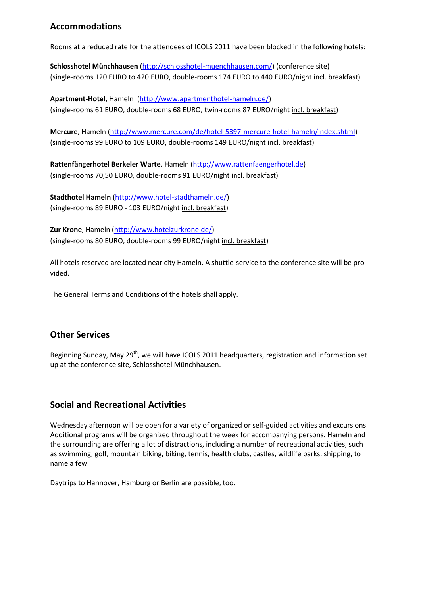# **Accommodations**

Rooms at a reduced rate for the attendees of ICOLS 2011 have been blocked in the following hotels:

**Schlosshotel Münchhausen** [\(http://schlosshotel-muenchhausen.com/\)](http://schlosshotel-muenchhausen.com/) (conference site) (single-rooms 120 EURO to 420 EURO, double-rooms 174 EURO to 440 EURO/night incl. breakfast)

**Apartment-Hotel**, Hameln [\(http://www.apartmenthotel-hameln.de/\)](http://www.apartmenthotel-hameln.de/) (single-rooms 61 EURO, double-rooms 68 EURO, twin-rooms 87 EURO/night incl. breakfast)

**Mercure**, Hameln [\(http://www.mercure.com/de/hotel-5397-mercure-hotel-hameln/index.shtml\)](http://www.mercure.com/de/hotel-5397-mercure-hotel-hameln/index.shtml) (single-rooms 99 EURO to 109 EURO, double-rooms 149 EURO/night incl. breakfast)

**Rattenfängerhotel Berkeler Warte**, Hameln [\(http://www.rattenfaengerhotel.de\)](http://www.rattenfaengerhotel.de/) (single-rooms 70,50 EURO, double-rooms 91 EURO/night incl. breakfast)

**Stadthotel Hameln** [\(http://www.hotel-stadthameln.de/\)](http://www.hotel-stadthameln.de/) (single-rooms 89 EURO - 103 EURO/night incl. breakfast)

**Zur Krone**, Hameln [\(http://www.hotelzurkrone.de/\)](http://www.hotelzurkrone.de/) (single-rooms 80 EURO, double-rooms 99 EURO/night incl. breakfast)

All hotels reserved are located near city Hameln. A shuttle-service to the conference site will be provided.

[The](http://dict.tu-chemnitz.de/english-german/the.html) [General](http://dict.tu-chemnitz.de/english-german/General.html) [Terms](http://dict.tu-chemnitz.de/english-german/Terms.html) [and](http://dict.tu-chemnitz.de/english-german/and.html) [Conditions](http://dict.tu-chemnitz.de/english-german/Conditions.html) of the hotels [shall](http://dict.tu-chemnitz.de/english-german/shall.html) [apply.](http://dict.tu-chemnitz.de/english-german/apply/govern.html)

# **Other Services**

Beginning Sunday, May  $29<sup>th</sup>$ , we will have ICOLS 2011 headquarters, registration and information set up at the conference site, Schlosshotel Münchhausen.

# **Social and Recreational Activities**

Wednesday afternoon will be open for a variety of organized or self-guided activities and excursions. Additional programs will be organized throughout the week for accompanying persons. Hameln and the surrounding are offering a lot of distractions, including a number of recreational activities, such as swimming, golf, mountain biking, biking, tennis, health clubs, castles, wildlife parks, shipping, to name a few.

Daytrips to Hannover, Hamburg or Berlin are possible, too.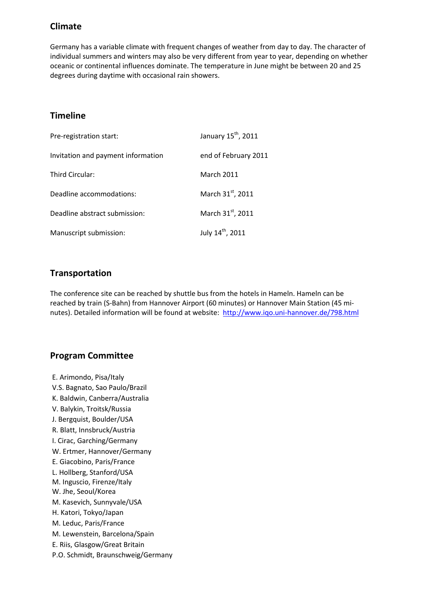# **Climate**

Germany has a variable climate with frequent changes of weather from day to day. The character of individual summers and winters may also be very different from year to year, depending on whether oceanic or continental influences dominate. The temperature in June might be between 20 and 25 degrees during daytime with occasional rain showers.

# **Timeline**

| Pre-registration start:            | January 15 <sup>th</sup> , 2011 |
|------------------------------------|---------------------------------|
| Invitation and payment information | end of February 2011            |
| Third Circular:                    | March 2011                      |
| Deadline accommodations:           | March 31st, 2011                |
| Deadline abstract submission:      | March 31st, 2011                |
| Manuscript submission:             | July 14 <sup>th</sup> , 2011    |

# **Transportation**

The conference site can be reached by shuttle bus from the hotels in Hameln. Hameln can be reached by train (S-Bahn) from Hannover Airport (60 minutes) or Hannover Main Station (45 minutes). Detailed information will be found at website: <http://www.iqo.uni-hannover.de/798.html>

# **Program Committee**

E. Arimondo, Pisa/Italy V.S. Bagnato, Sao Paulo/Brazil K. Baldwin, Canberra/Australia V. Balykin, Troitsk/Russia J. Bergquist, Boulder/USA R. Blatt, Innsbruck/Austria I. Cirac, Garching/Germany W. Ertmer, Hannover/Germany E. Giacobino, Paris/France L. Hollberg, Stanford/USA M. Inguscio, Firenze/Italy W. Jhe, Seoul/Korea M. Kasevich, Sunnyvale/USA H. Katori, Tokyo/Japan M. Leduc, Paris/France M. Lewenstein, Barcelona/Spain E. Riis, Glasgow/Great Britain P.O. Schmidt, Braunschweig/Germany